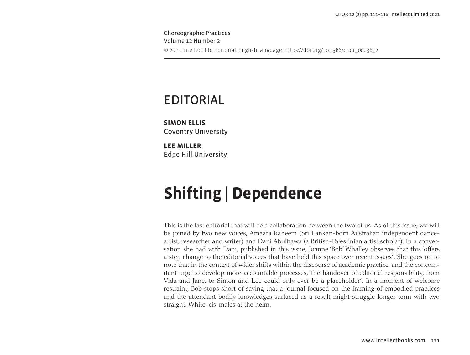Choreographic Practices Volume 12 Number 2 © 2021 Intellect Ltd Editorial. English language. https://doi.org/10.1386/chor\_00036\_2

## EDITORIAL

**SIMON ELLIS** Coventry University

**LEE MILLER** Edge Hill University

# **Shifting | Dependence**

This is the last editorial that will be a collaboration between the two of us. As of this issue, we will be joined by two new voices, Amaara Raheem (Sri Lankan-born Australian independent danceartist, researcher and writer) and Dani Abulhawa (a British-Palestinian artist scholar). In a conversation she had with Dani, published in this issue, Joanne 'Bob' Whalley observes that this 'offers a step change to the editorial voices that have held this space over recent issues'. She goes on to note that in the context of wider shifts within the discourse of academic practice, and the concomitant urge to develop more accountable processes, 'the handover of editorial responsibility, from Vida and Jane, to Simon and Lee could only ever be a placeholder'. In a moment of welcome restraint, Bob stops short of saying that a journal focused on the framing of embodied practices and the attendant bodily knowledges surfaced as a result might struggle longer term with two straight, White, cis-males at the helm.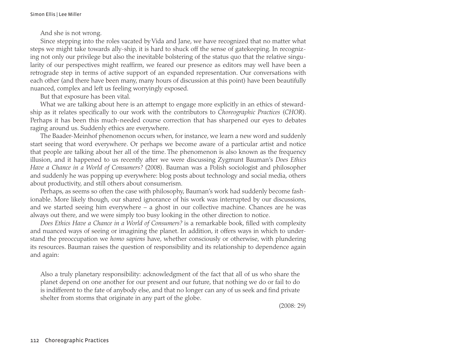And she is not wrong.

Since stepping into the roles vacated by Vida and Jane, we have recognized that no matter what steps we might take towards ally-ship, it is hard to shuck off the sense of gatekeeping. In recognizing not only our privilege but also the inevitable bolstering of the status quo that the relative singularity of our perspectives might reaffirm, we feared our presence as editors may well have been a retrograde step in terms of active support of an expanded representation. Our conversations with each other (and there have been many, many hours of discussion at this point) have been beautifully nuanced, complex and left us feeling worryingly exposed.

But that exposure has been vital.

What we are talking about here is an attempt to engage more explicitly in an ethics of stewardship as it relates specifically to our work with the contributors to *Choreographic Practices* (*CHOR*). Perhaps it has been this much-needed course correction that has sharpened our eyes to debates raging around us. Suddenly ethics are everywhere.

The Baader-Meinhof phenomenon occurs when, for instance, we learn a new word and suddenly start seeing that word everywhere. Or perhaps we become aware of a particular artist and notice that people are talking about her all of the time. The phenomenon is also known as the frequency illusion, and it happened to us recently after we were discussing Zygmunt Bauman's *Does Ethics Have a Chance in a World of Consumers?* (2008). Bauman was a Polish sociologist and philosopher and suddenly he was popping up everywhere: blog posts about technology and social media, others about productivity, and still others about consumerism.

Perhaps, as seems so often the case with philosophy, Bauman's work had suddenly become fashionable. More likely though, our shared ignorance of his work was interrupted by our discussions, and we started seeing him everywhere – a ghost in our collective machine. Chances are he was always out there, and we were simply too busy looking in the other direction to notice.

*Does Ethics Have a Chance in a World of Consumers?* is a remarkable book, filled with complexity and nuanced ways of seeing or imagining the planet. In addition, it offers ways in which to understand the preoccupation we *homo sapiens* have, whether consciously or otherwise, with plundering its resources. Bauman raises the question of responsibility and its relationship to dependence again and again:

Also a truly planetary responsibility: acknowledgment of the fact that all of us who share the planet depend on one another for our present and our future, that nothing we do or fail to do is indifferent to the fate of anybody else, and that no longer can any of us seek and find private shelter from storms that originate in any part of the globe.

(2008: 29)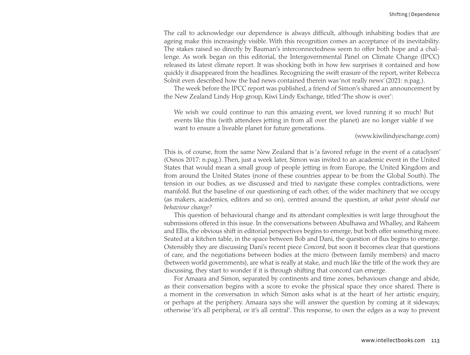The call to acknowledge our dependence is always difficult, although inhabiting bodies that are ageing make this increasingly visible. With this recognition comes an acceptance of its inevitability. The stakes raised so directly by Bauman's interconnectedness seem to offer both hope and a challenge. As work began on this editorial, the Intergovernmental Panel on Climate Change (IPCC) released its latest climate report. It was shocking both in how few surprises it contained and how quickly it disappeared from the headlines. Recognizing the swift erasure of the report, writer Rebecca Solnit even described how the bad news contained therein was 'not really news' (2021: n.pag.).

The week before the IPCC report was published, a friend of Simon's shared an announcement by the New Zealand Lindy Hop group, Kiwi Lindy Exchange, titled 'The show is over':

We wish we could continue to run this amazing event, we loved running it so much! But events like this (with attendees jetting in from all over the planet) are no longer viable if we want to ensure a liveable planet for future generations.

#### [\(www.kiwilindyexchange.com\)](www.kiwilindyexchange.com)

This is, of course, from the same New Zealand that is 'a favored refuge in the event of a cataclysm' (Osnos 2017: n.pag.). Then, just a week later, Simon was invited to an academic event in the United States that would mean a small group of people jetting in from Europe, the United Kingdom and from around the United States (none of these countries appear to be from the Global South). The tension in our bodies, as we discussed and tried to navigate these complex contradictions, were manifold. But the baseline of our questioning of each other, of the wider machinery that we occupy (as makers, academics, editors and so on), centred around the question, *at what point should our behaviour change?*

This question of behavioural change and its attendant complexities is writ large throughout the submissions offered in this issue. In the conversations between Abulhawa and Whalley, and Raheem and Ellis, the obvious shift in editorial perspectives begins to emerge, but both offer something more. Seated at a kitchen table, in the space between Bob and Dani, the question of flux begins to emerge. Ostensibly they are discussing Dani's recent piece *Concord*, but soon it becomes clear that questions of care, and the negotiations between bodies at the micro (between family members) and macro (between world governments), are what is really at stake, and much like the title of the work they are discussing, they start to wonder if it is through shifting that concord can emerge.

For Amaara and Simon, separated by continents and time zones, behaviours change and abide, as their conversation begins with a score to evoke the physical space they once shared. There is a moment in the conversation in which Simon asks what is at the heart of her artistic enquiry, or perhaps at the periphery. Amaara says she will answer the question by coming at it sideways; otherwise 'it's all peripheral, or it's all central'. This response, to own the edges as a way to prevent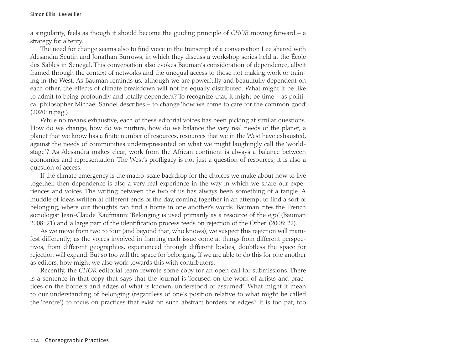Simon Ellis | Lee Miller

a singularity, feels as though it should become the guiding principle of *CHOR* moving forward – a strategy for alterity.

The need for change seems also to find voice in the transcript of a conversation Lee shared with Alesandra Seutin and Jonathan Burrows, in which they discuss a workshop series held at the École des Sables in Senegal. This conversation also evokes Bauman's consideration of dependence, albeit framed through the context of networks and the unequal access to those not making work or training in the West. As Bauman reminds us, although we are powerfully and beautifully dependent on each other, the effects of climate breakdown will not be equally distributed. What might it be like to admit to being profoundly and totally dependent? To recognize that, it might be time – as political philosopher Michael Sandel describes – to change 'how we come to care for the common good' (2020: n.pag.).

While no means exhaustive, each of these editorial voices has been picking at similar questions. How do we change, how do we nurture, how do we balance the very real needs of the planet, a planet that we know has a finite number of resources, resources that we in the West have exhausted, against the needs of communities underrepresented on what we might laughingly call the 'worldstage'? As Alesandra makes clear, work from the African continent is always a balance between economics and representation. The West's profligacy is not just a question of resources; it is also a question of access.

If the climate emergency is the macro-scale backdrop for the choices we make about how to live together, then dependence is also a very real experience in the way in which we share our experiences and voices. The writing between the two of us has always been something of a tangle. A muddle of ideas written at different ends of the day, coming together in an attempt to find a sort of belonging, where our thoughts can find a home in one another's words. Bauman cites the French sociologist Jean-Claude Kaufmann: 'Belonging is used primarily as a resource of the ego' (Bauman 2008: 21) and 'a large part of the identification process feeds on rejection of the Other' (2008: 22).

As we move from two to four (and beyond that, who knows), we suspect this rejection will manifest differently; as the voices involved in framing each issue come at things from different perspectives, from different geographies, experienced through different bodies, doubtless the space for rejection will expand. But so too will the space for belonging. If we are able to do this for one another as editors, how might we also work towards this with contributors.

Recently, the *CHOR* editorial team rewrote some copy for an open call for submissions. There is a sentence in that copy that says that the journal is 'focused on the work of artists and practices on the borders and edges of what is known, understood or assumed'. What might it mean to our understanding of belonging (regardless of one's position relative to what might be called the 'centre') to focus on practices that exist on such abstract borders or edges? It is too pat, too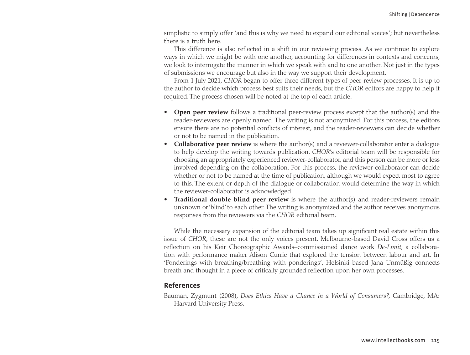simplistic to simply offer 'and this is why we need to expand our editorial voices'; but nevertheless there is a truth here.

This difference is also reflected in a shift in our reviewing process. As we continue to explore ways in which we might be with one another, accounting for differences in contexts and concerns, we look to interrogate the manner in which we speak with and to one another. Not just in the types of submissions we encourage but also in the way we support their development.

From 1 July 2021, *CHOR* began to offer three different types of peer-review processes. It is up to the author to decide which process best suits their needs, but the *CHOR* editors are happy to help if required. The process chosen will be noted at the top of each article.

- **Open peer review** follows a traditional peer-review process except that the author(s) and the reader-reviewers are openly named. The writing is not anonymized. For this process, the editors ensure there are no potential conflicts of interest, and the reader-reviewers can decide whether or not to be named in the publication.
- **Collaborative peer review** is where the author(s) and a reviewer-collaborator enter a dialogue to help develop the writing towards publication. *CHOR*'s editorial team will be responsible for choosing an appropriately experienced reviewer-collaborator, and this person can be more or less involved depending on the collaboration. For this process, the reviewer-collaborator can decide whether or not to be named at the time of publication, although we would expect most to agree to this. The extent or depth of the dialogue or collaboration would determine the way in which the reviewer-collaborator is acknowledged.
- **Traditional double blind peer review** is where the author(s) and reader-reviewers remain unknown or 'blind' to each other. The writing is anonymized and the author receives anonymous responses from the reviewers via the *CHOR* editorial team.

While the necessary expansion of the editorial team takes up significant real estate within this issue of *CHOR*, these are not the only voices present. Melbourne-based David Cross offers us a reflection on his Keir Choreographic Awards–commissioned dance work *De-Limit*, a collaboration with performance maker Alison Currie that explored the tension between labour and art. In 'Ponderings with breathing/breathing with ponderings', Helsinki-based Jana Unmüßig connects breath and thought in a piece of critically grounded reflection upon her own processes.

#### **References**

Bauman, Zygmunt (2008), *Does Ethics Have a Chance in a World of Consumers?*, Cambridge, MA: Harvard University Press.